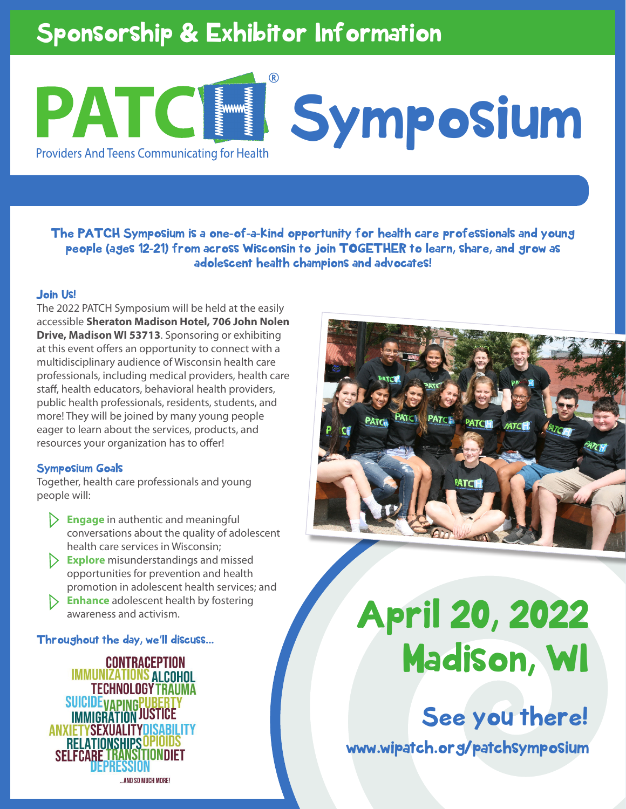# Sponsorship & Exhibitor Information

### ® PATC **Symposium Providers And Teens Communicating for Health**

The PATCH Symposium is a one-of-a-kind opportunity for health care professionals and young people (ages 12-21) from across Wisconsin to join TOGETHER to learn, share, and grow as adolescent health champions and advocates!

#### Join Us!

The 2022 PATCH Symposium will be held at the easily accessible **Sheraton Madison Hotel, 706 John Nolen Drive, Madison WI 53713**. Sponsoring or exhibiting at this event offers an opportunity to connect with a multidisciplinary audience of Wisconsin health care professionals, including medical providers, health care staff, health educators, behavioral health providers, public health professionals, residents, students, and more! They will be joined by many young people eager to learn about the services, products, and resources your organization has to offer!

#### Symposium Goals

Together, health care professionals and young people will:

- **Engage** in authentic and meaningful conversations about the quality of adolescent health care services in Wisconsin;
- **Explore** misunderstandings and missed opportunities for prevention and health promotion in adolescent health services; and
- **Enhance** adolescent health by fostering awareness and activism.

Throughout the day, we'll discuss...

**CONTRACEPTION IMMUNIZATIONS ALCOHOL TECHNOLOGY TRAUMA SUICIDEVAPINGPUBE IMMIGRATION JUSTICE ANXIETYSEXUALITY** RELATIONSHIPS AND SO MUCH MORE!

# April 20, 2022 Madison, WI

www.wipatch.org/patchsymposium See you there!

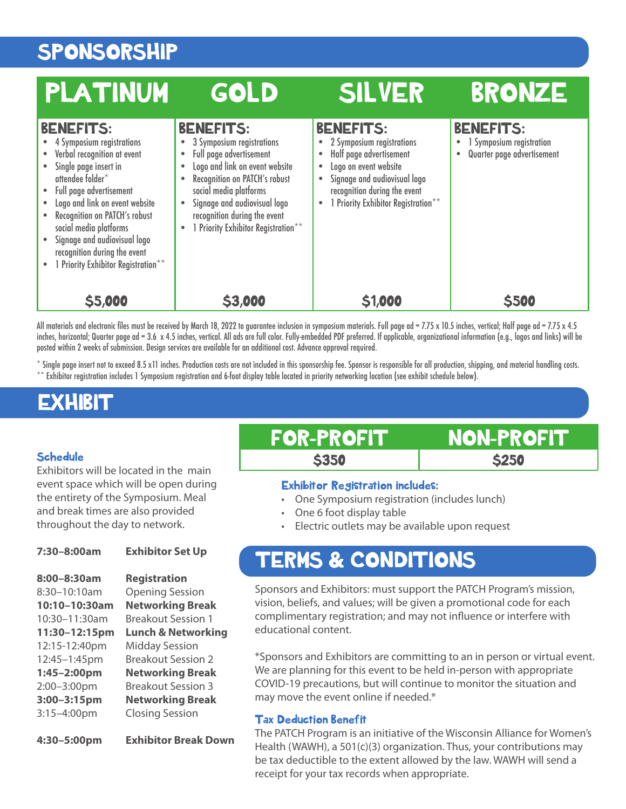# SPONSORSHIP

| PLATINUM                                                                                                                                                                                                                                                                                                                                                                           | GOLD                                                                                                                                                                                                                                                                         | <b>SILVER</b>                                                                                                                                                                                                | <b>BRONZE</b>                                                                           |
|------------------------------------------------------------------------------------------------------------------------------------------------------------------------------------------------------------------------------------------------------------------------------------------------------------------------------------------------------------------------------------|------------------------------------------------------------------------------------------------------------------------------------------------------------------------------------------------------------------------------------------------------------------------------|--------------------------------------------------------------------------------------------------------------------------------------------------------------------------------------------------------------|-----------------------------------------------------------------------------------------|
| <b>BENEFITS:</b><br>4 Symposium registrations<br>Verbal recognition at event<br>Single page insert in<br>attendee folder*<br>Full page advertisement<br>$\bullet$<br>Logo and link on event website<br>$\bullet$<br>Recognition on PATCH's robust<br>social media platforms<br>Signage and audiovisual logo<br>recognition during the event<br>1 Priority Exhibitor Registration** | <b>BENEFITS:</b><br>3 Symposium registrations<br>Full page advertisement<br>Logo and link on event website<br>Recognition on PATCH's robust<br>social media platforms<br>Signage and audiovisual logo<br>recognition during the event<br>1 Priority Exhibitor Registration** | <b>BENEFITS:</b><br>• 2 Symposium registrations<br>Half page advertisement<br>Logo on event website<br>Signage and audiovisual logo<br>recognition during the event<br>• 1 Priority Exhibitor Registration** | <b>BENEFITS:</b><br>1 Symposium registration<br>$\bullet$<br>Quarter page advertisement |
| \$5,000                                                                                                                                                                                                                                                                                                                                                                            | \$3,000                                                                                                                                                                                                                                                                      | \$1,000                                                                                                                                                                                                      | \$500                                                                                   |

All materials and electronic files must be received by March 18, 2022 to guarantee inclusion in symposium materials. Full page ad = 7.75 x 10.5 inches, vertical; Half page ad = 7.75 x 4.5 inches, horizontal; Quarter page ad = 3.6 x 4.5 inches, vertical. All ads are full color. Fully-embedded PDF preferred. If applicable, organizational information (e.g., logos and links) will be posted within 2 weeks of submission. Design services are available for an additional cost. Advance approval required.

\* Single page insert not to exceed 8.5 x11 inches. Production costs are not included in this sponsorship fee. Sponsor is responsible for all production, shipping, and material handling costs. \*\* Exhibitor registration includes 1 Symposium registration and 6-foot display table located in priority networking location (see exhibit schedule below).

### **EXHIBIT**

#### **Schedule**

Exhibitors will be located in the main event space which will be open during the entirety of the Symposium. Meal and break times are also provided throughout the day to network.

#### **7:30–8:00am Exhibitor Set Up**

**8:00–8:30am Registration**  8:30–10:10am Opening Session **10:10–10:30am Networking Break**  10:30–11:30am Breakout Session 1 **11:30–12:15pm Lunch & Networking** 12:15-12:40pm Midday Session 12:45–1:45pm Breakout Session 2 **1:45–2:00pm Networking Break** 2:00–3:00pm Breakout Session 3 **3:00–3:15pm Networking Break** 3:15–4:00pm Closing Session

**4:30–5:00pm Exhibitor Break Down** 

FOR-PROFIT NON-PROFIT

**\$350** \$250

#### Exhibitor Registration includes:

- One Symposium registration (includes lunch)
- One 6 foot display table
- Electric outlets may be available upon request

## TERMS & CONDITIONS

Sponsors and Exhibitors: must support the PATCH Program's mission, vision, beliefs, and values; will be given a promotional code for each complimentary registration; and may not influence or interfere with educational content.

\*Sponsors and Exhibitors are committing to an in person or virtual event. We are planning for this event to be held in-person with appropriate COVID-19 precautions, but will continue to monitor the situation and may move the event online if needed.\*

#### Tax Deduction Benefit

The PATCH Program is an initiative of the Wisconsin Alliance for Women's Health (WAWH), a 501(c)(3) organization. Thus, your contributions may be tax deductible to the extent allowed by the law. WAWH will send a receipt for your tax records when appropriate.